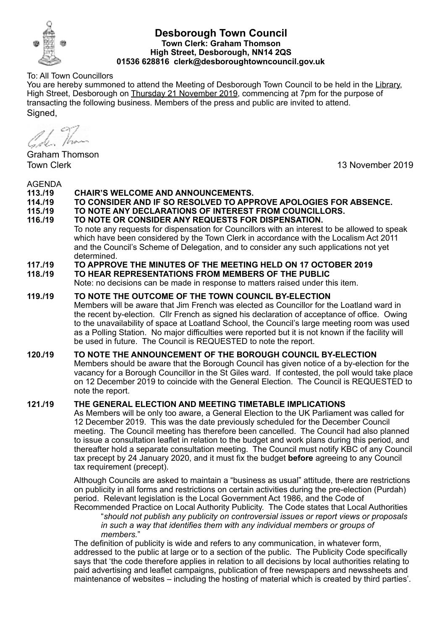

# **Desborough Town Council Town Clerk: Graham Thomson High Street, Desborough, NN14 2QS 01536 628816 clerk@desboroughtowncouncil.gov.uk**

# To: All Town Councillors

You are hereby summoned to attend the Meeting of Desborough Town Council to be held in the Library, High Street, Desborough on Thursday 21 November 2019, commencing at 7pm for the purpose of transacting the following business. Members of the press and public are invited to attend. Signed,

Cole Thom

Graham Thomson

Town Clerk 13 November 2019

# **AGENDA**<br>113./19 **113./19 CHAIR'S WELCOME AND ANNOUNCEMENTS. 114./19 TO CONSIDER AND IF SO RESOLVED TO APPROVE APOLOGIES FOR ABSENCE. 115./19 TO NOTE ANY DECLARATIONS OF INTEREST FROM COUNCILLORS. 10 NOTE OR CONSIDER ANY REQUESTS FOR DISPENSATION.** To note any requests for dispensation for Councillors with an interest to be allowed to speak which have been considered by the Town Clerk in accordance with the Localism Act 2011 and the Council's Scheme of Delegation, and to consider any such applications not yet determined. **117./19 TO APPROVE THE MINUTES OF THE MEETING HELD ON 17 OCTOBER 2019 10 HEAR REPRESENTATIONS FROM MEMBERS OF THE PUBLIC** Note: no decisions can be made in response to matters raised under this item. **119./19 TO NOTE THE OUTCOME OF THE TOWN COUNCIL BY-ELECTION**  Members will be aware that Jim French was elected as Councillor for the Loatland ward in the recent by-election. Cllr French as signed his declaration of acceptance of office. Owing to the unavailability of space at Loatland School, the Council's large meeting room was used as a Polling Station. No major difficulties were reported but it is not known if the facility will be used in future. The Council is REQUESTED to note the report.

# **120./19 TO NOTE THE ANNOUNCEMENT OF THE BOROUGH COUNCIL BY-ELECTION**

Members should be aware that the Borough Council has given notice of a by-election for the vacancy for a Borough Councillor in the St Giles ward. If contested, the poll would take place on 12 December 2019 to coincide with the General Election. The Council is REQUESTED to note the report.

# **121./19 THE GENERAL ELECTION AND MEETING TIMETABLE IMPLICATIONS**

As Members will be only too aware, a General Election to the UK Parliament was called for 12 December 2019. This was the date previously scheduled for the December Council meeting. The Council meeting has therefore been cancelled. The Council had also planned to issue a consultation leaflet in relation to the budget and work plans during this period, and thereafter hold a separate consultation meeting. The Council must notify KBC of any Council tax precept by 24 January 2020, and it must fix the budget **before** agreeing to any Council tax requirement (precept).

Although Councils are asked to maintain a "business as usual" attitude, there are restrictions on publicity in all forms and restrictions on certain activities during the pre-election (Purdah) period. Relevant legislation is the Local Government Act 1986, and the Code of

Recommended Practice on Local Authority Publicity. The Code states that Local Authorities "*should not publish any publicity on controversial issues or report views or proposals in such a way that identifies them with any individual members or groups of members.*"

The definition of publicity is wide and refers to any communication, in whatever form, addressed to the public at large or to a section of the public. The Publicity Code specifically says that 'the code therefore applies in relation to all decisions by local authorities relating to paid advertising and leaflet campaigns, publication of free newspapers and newssheets and maintenance of websites – including the hosting of material which is created by third parties'.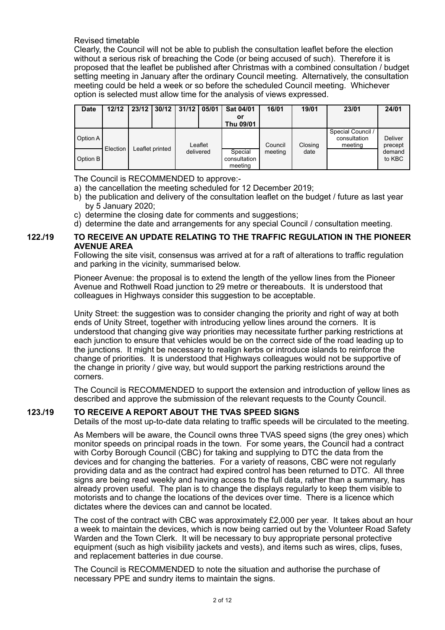Revised timetable

Clearly, the Council will not be able to publish the consultation leaflet before the election without a serious risk of breaching the Code (or being accused of such). Therefore it is proposed that the leaflet be published after Christmas with a combined consultation / budget setting meeting in January after the ordinary Council meeting. Alternatively, the consultation meeting could be held a week or so before the scheduled Council meeting. Whichever option is selected must allow time for the analysis of views expressed.

| <b>Date</b> | 12/12    |                 | $23/12$   30/12   31/12 |           | 05/01 | Sat 04/01<br>Οľ<br>Thu 09/01       | 16/01   | 19/01   | 23/01                                        | 24/01              |
|-------------|----------|-----------------|-------------------------|-----------|-------|------------------------------------|---------|---------|----------------------------------------------|--------------------|
| Option A    |          |                 |                         | Leaflet   |       |                                    | Council | Closing | Special Council /<br>consultation<br>meeting | Deliver<br>precept |
| Option B    | Election | Leaflet printed |                         | delivered |       | Special<br>consultation<br>meeting | meeting | date    |                                              | demand<br>to KBC   |

The Council is RECOMMENDED to approve:-

- a) the cancellation the meeting scheduled for 12 December 2019;
- b) the publication and delivery of the consultation leaflet on the budget / future as last year by 5 January 2020;
- c) determine the closing date for comments and suggestions;
- d) determine the date and arrangements for any special Council / consultation meeting.

# **122./19 TO RECEIVE AN UPDATE RELATING TO THE TRAFFIC REGULATION IN THE PIONEER AVENUE AREA**

Following the site visit, consensus was arrived at for a raft of alterations to traffic regulation and parking in the vicinity, summarised below.

Pioneer Avenue: the proposal is to extend the length of the yellow lines from the Pioneer Avenue and Rothwell Road junction to 29 metre or thereabouts. It is understood that colleagues in Highways consider this suggestion to be acceptable.

Unity Street: the suggestion was to consider changing the priority and right of way at both ends of Unity Street, together with introducing yellow lines around the corners. It is understood that changing give way priorities may necessitate further parking restrictions at each junction to ensure that vehicles would be on the correct side of the road leading up to the junctions. It might be necessary to realign kerbs or introduce islands to reinforce the change of priorities. It is understood that Highways colleagues would not be supportive of the change in priority / give way, but would support the parking restrictions around the corners.

The Council is RECOMMENDED to support the extension and introduction of yellow lines as described and approve the submission of the relevant requests to the County Council.

# **123./19 TO RECEIVE A REPORT ABOUT THE TVAS SPEED SIGNS**

Details of the most up-to-date data relating to traffic speeds will be circulated to the meeting.

As Members will be aware, the Council owns three TVAS speed signs (the grey ones) which monitor speeds on principal roads in the town. For some years, the Council had a contract with Corby Borough Council (CBC) for taking and supplying to DTC the data from the devices and for changing the batteries. For a variety of reasons, CBC were not regularly providing data and as the contract had expired control has been returned to DTC. All three signs are being read weekly and having access to the full data, rather than a summary, has already proven useful. The plan is to change the displays regularly to keep them visible to motorists and to change the locations of the devices over time. There is a licence which dictates where the devices can and cannot be located.

The cost of the contract with CBC was approximately £2,000 per year. It takes about an hour a week to maintain the devices, which is now being carried out by the Volunteer Road Safety Warden and the Town Clerk. It will be necessary to buy appropriate personal protective equipment (such as high visibility jackets and vests), and items such as wires, clips, fuses, and replacement batteries in due course.

The Council is RECOMMENDED to note the situation and authorise the purchase of necessary PPE and sundry items to maintain the signs.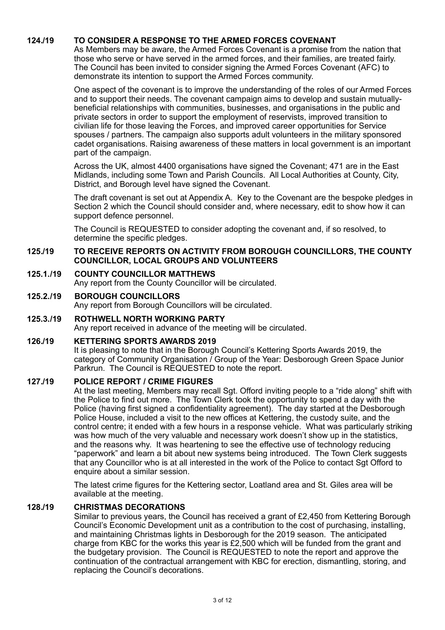# **124./19 TO CONSIDER A RESPONSE TO THE ARMED FORCES COVENANT**

As Members may be aware, the Armed Forces Covenant is a promise from the nation that those who serve or have served in the armed forces, and their families, are treated fairly. The Council has been invited to consider signing the Armed Forces Covenant (AFC) to demonstrate its intention to support the Armed Forces community.

One aspect of the covenant is to improve the understanding of the roles of our Armed Forces and to support their needs. The covenant campaign aims to develop and sustain mutuallybeneficial relationships with communities, businesses, and organisations in the public and private sectors in order to support the employment of reservists, improved transition to civilian life for those leaving the Forces, and improved career opportunities for Service spouses / partners. The campaign also supports adult volunteers in the military sponsored cadet organisations. Raising awareness of these matters in local government is an important part of the campaign.

Across the UK, almost 4400 organisations have signed the Covenant; 471 are in the East Midlands, including some Town and Parish Councils. All Local Authorities at County, City, District, and Borough level have signed the Covenant.

The draft covenant is set out at Appendix A. Key to the Covenant are the bespoke pledges in Section 2 which the Council should consider and, where necessary, edit to show how it can support defence personnel.

The Council is REQUESTED to consider adopting the covenant and, if so resolved, to determine the specific pledges.

# **125./19 TO RECEIVE REPORTS ON ACTIVITY FROM BOROUGH COUNCILLORS, THE COUNTY COUNCILLOR, LOCAL GROUPS AND VOLUNTEERS**

# **125.1./19 COUNTY COUNCILLOR MATTHEWS**

Any report from the County Councillor will be circulated.

# **125.2./19 BOROUGH COUNCILLORS**

Any report from Borough Councillors will be circulated.

# **125.3./19 ROTHWELL NORTH WORKING PARTY**

Any report received in advance of the meeting will be circulated.

# **126./19 KETTERING SPORTS AWARDS 2019**

It is pleasing to note that in the Borough Council's Kettering Sports Awards 2019, the category of Community Organisation / Group of the Year: Desborough Green Space Junior Parkrun. The Council is REQUESTED to note the report.

# **127./19 POLICE REPORT / CRIME FIGURES**

At the last meeting, Members may recall Sgt. Offord inviting people to a "ride along" shift with the Police to find out more. The Town Clerk took the opportunity to spend a day with the Police (having first signed a confidentiality agreement). The day started at the Desborough Police House, included a visit to the new offices at Kettering, the custody suite, and the control centre; it ended with a few hours in a response vehicle. What was particularly striking was how much of the very valuable and necessary work doesn't show up in the statistics, and the reasons why. It was heartening to see the effective use of technology reducing "paperwork" and learn a bit about new systems being introduced. The Town Clerk suggests that any Councillor who is at all interested in the work of the Police to contact Sgt Offord to enquire about a similar session.

The latest crime figures for the Kettering sector, Loatland area and St. Giles area will be available at the meeting.

# **128./19 CHRISTMAS DECORATIONS**

Similar to previous years, the Council has received a grant of £2,450 from Kettering Borough Council's Economic Development unit as a contribution to the cost of purchasing, installing, and maintaining Christmas lights in Desborough for the 2019 season. The anticipated charge from KBC for the works this year is £2,500 which will be funded from the grant and the budgetary provision. The Council is REQUESTED to note the report and approve the continuation of the contractual arrangement with KBC for erection, dismantling, storing, and replacing the Council's decorations.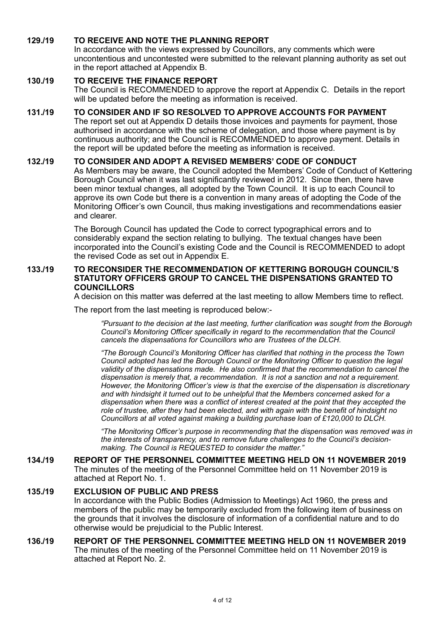# **129./19 TO RECEIVE AND NOTE THE PLANNING REPORT**

In accordance with the views expressed by Councillors, any comments which were uncontentious and uncontested were submitted to the relevant planning authority as set out in the report attached at Appendix B.

# **130./19 TO RECEIVE THE FINANCE REPORT**

The Council is RECOMMENDED to approve the report at Appendix C. Details in the report will be updated before the meeting as information is received.

# **131./19 TO CONSIDER AND IF SO RESOLVED TO APPROVE ACCOUNTS FOR PAYMENT**

The report set out at Appendix D details those invoices and payments for payment, those authorised in accordance with the scheme of delegation, and those where payment is by continuous authority; and the Council is RECOMMENDED to approve payment. Details in the report will be updated before the meeting as information is received.

# **132./19 TO CONSIDER AND ADOPT A REVISED MEMBERS' CODE OF CONDUCT**

As Members may be aware, the Council adopted the Members' Code of Conduct of Kettering Borough Council when it was last significantly reviewed in 2012. Since then, there have been minor textual changes, all adopted by the Town Council. It is up to each Council to approve its own Code but there is a convention in many areas of adopting the Code of the Monitoring Officer's own Council, thus making investigations and recommendations easier and clearer.

The Borough Council has updated the Code to correct typographical errors and to considerably expand the section relating to bullying. The textual changes have been incorporated into the Council's existing Code and the Council is RECOMMENDED to adopt the revised Code as set out in Appendix E.

# **133./19 TO RECONSIDER THE RECOMMENDATION OF KETTERING BOROUGH COUNCIL'S STATUTORY OFFICERS GROUP TO CANCEL THE DISPENSATIONS GRANTED TO COUNCILLORS**

A decision on this matter was deferred at the last meeting to allow Members time to reflect.

The report from the last meeting is reproduced below:-

*"Pursuant to the decision at the last meeting, further clarification was sought from the Borough Council's Monitoring Officer specifically in regard to the recommendation that the Council cancels the dispensations for Councillors who are Trustees of the DLCH.* 

*"The Borough Council's Monitoring Officer has clarified that nothing in the process the Town Council adopted has led the Borough Council or the Monitoring Officer to question the legal validity of the dispensations made. He also confirmed that the recommendation to cancel the dispensation is merely that, a recommendation. It is not a sanction and not a requirement. However, the Monitoring Officer's view is that the exercise of the dispensation is discretionary and with hindsight it turned out to be unhelpful that the Members concerned asked for a dispensation when there was a conflict of interest created at the point that they accepted the role of trustee, after they had been elected, and with again with the benefit of hindsight no Councillors at all voted against making a building purchase loan of £120,000 to DLCH.* 

*"The Monitoring Officer's purpose in recommending that the dispensation was removed was in the interests of transparency, and to remove future challenges to the Council's decisionmaking. The Council is REQUESTED to consider the matter."* 

# **134./19 REPORT OF THE PERSONNEL COMMITTEE MEETING HELD ON 11 NOVEMBER 2019**

The minutes of the meeting of the Personnel Committee held on 11 November 2019 is attached at Report No. 1.

# **135./19 EXCLUSION OF PUBLIC AND PRESS**

In accordance with the Public Bodies (Admission to Meetings) Act 1960, the press and members of the public may be temporarily excluded from the following item of business on the grounds that it involves the disclosure of information of a confidential nature and to do otherwise would be prejudicial to the Public Interest.

# **136./19 REPORT OF THE PERSONNEL COMMITTEE MEETING HELD ON 11 NOVEMBER 2019**

The minutes of the meeting of the Personnel Committee held on 11 November 2019 is attached at Report No. 2.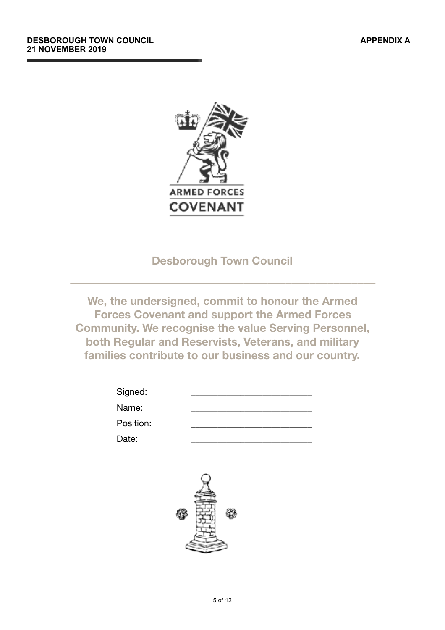

**Desborough Town Council** 

\_\_\_\_\_\_\_\_\_\_\_\_\_\_\_\_\_\_\_\_\_\_\_\_\_\_\_\_\_\_\_\_\_\_\_\_\_\_\_\_\_\_\_\_\_\_\_\_\_\_\_

**We, the undersigned, commit to honour the Armed Forces Covenant and support the Armed Forces Community. We recognise the value Serving Personnel, both Regular and Reservists, Veterans, and military families contribute to our business and our country.** 

| Signed:   |  |
|-----------|--|
| Name:     |  |
| Position: |  |
| Date:     |  |

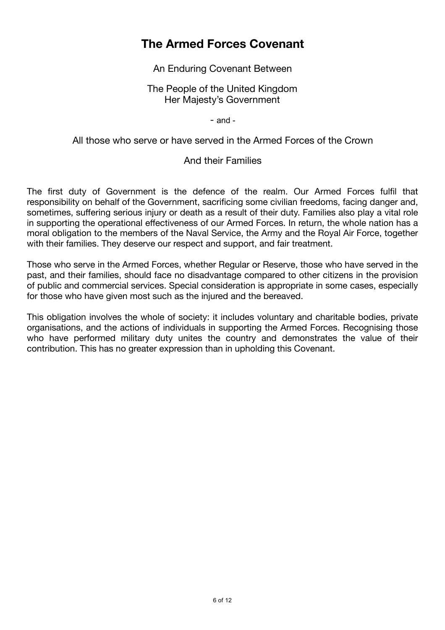# **The Armed Forces Covenant**

An Enduring Covenant Between

# The People of the United Kingdom Her Majesty's Government

- and -

# All those who serve or have served in the Armed Forces of the Crown

# And their Families

The first duty of Government is the defence of the realm. Our Armed Forces fulfil that responsibility on behalf of the Government, sacrificing some civilian freedoms, facing danger and, sometimes, suffering serious injury or death as a result of their duty. Families also play a vital role in supporting the operational effectiveness of our Armed Forces. In return, the whole nation has a moral obligation to the members of the Naval Service, the Army and the Royal Air Force, together with their families. They deserve our respect and support, and fair treatment.

Those who serve in the Armed Forces, whether Regular or Reserve, those who have served in the past, and their families, should face no disadvantage compared to other citizens in the provision of public and commercial services. Special consideration is appropriate in some cases, especially for those who have given most such as the injured and the bereaved.

This obligation involves the whole of society: it includes voluntary and charitable bodies, private organisations, and the actions of individuals in supporting the Armed Forces. Recognising those who have performed military duty unites the country and demonstrates the value of their contribution. This has no greater expression than in upholding this Covenant.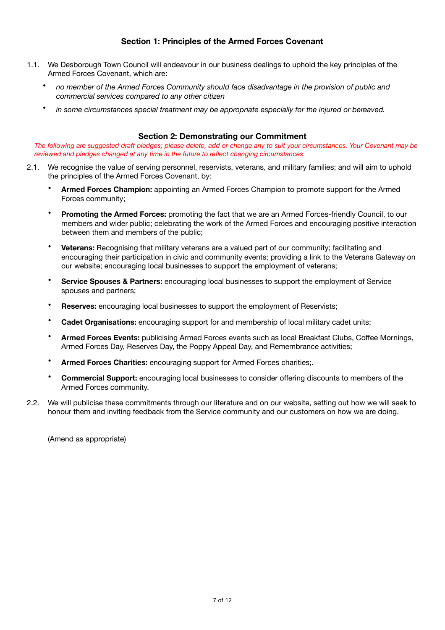# **Section 1: Principles of the Armed Forces Covenant**

- 1.1. We Desborough Town Council will endeavour in our business dealings to uphold the key principles of the Armed Forces Covenant, which are:
	- *no member of the Armed Forces Community should face disadvantage in the provision of public and commercial services compared to any other citizen*
	- *in some circumstances special treatment may be appropriate especially for the injured or bereaved.*

# **Section 2: Demonstrating our Commitment**

*The following are suggested draft pledges; please delete, add or change any to suit your circumstances. Your Covenant may be reviewed and pledges changed at any time in the future to reflect changing circumstances.*

- 2.1. We recognise the value of serving personnel, reservists, veterans, and military families; and will aim to uphold the principles of the Armed Forces Covenant, by:
	- **Armed Forces Champion:** appointing an Armed Forces Champion to promote support for the Armed Forces community;
	- **Promoting the Armed Forces:** promoting the fact that we are an Armed Forces-friendly Council, to our members and wider public; celebrating the work of the Armed Forces and encouraging positive interaction between them and members of the public;
	- **Veterans:** Recognising that military veterans are a valued part of our community; facilitating and encouraging their participation in civic and community events; providing a link to the Veterans Gateway on our website; encouraging local businesses to support the employment of veterans;
	- **Service Spouses & Partners:** encouraging local businesses to support the employment of Service spouses and partners;
	- **Reserves:** encouraging local businesses to support the employment of Reservists;
	- **Cadet Organisations:** encouraging support for and membership of local military cadet units;
	- **Armed Forces Events:** publicising Armed Forces events such as local Breakfast Clubs, Coffee Mornings, Armed Forces Day, Reserves Day, the Poppy Appeal Day, and Remembrance activities;
	- **Armed Forces Charities:** encouraging support for Armed Forces charities;.
	- **Commercial Support:** encouraging local businesses to consider offering discounts to members of the Armed Forces community.
- 2.2. We will publicise these commitments through our literature and on our website, setting out how we will seek to honour them and inviting feedback from the Service community and our customers on how we are doing.

(Amend as appropriate)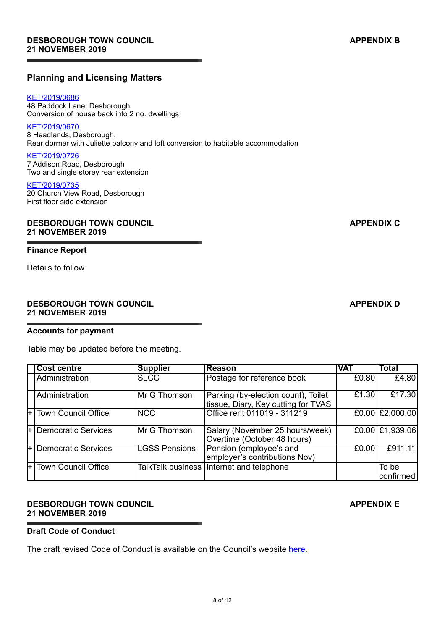# **Planning and Licensing Matters**

### [KET/2019/0686](https://www.kettering.gov.uk/planningApplication/129241)

48 Paddock Lane, Desborough Conversion of house back into 2 no. dwellings

[KET/2019/0670](https://www.kettering.gov.uk/planningApplication/129196)

8 Headlands, Desborough, Rear dormer with Juliette balcony and loft conversion to habitable accommodation

# [KET/2019/0726](https://www.kettering.gov.uk/planningApplication/129220)

7 Addison Road, Desborough Two and single storey rear extension

### [KET/2019/0735](https://www.kettering.gov.uk/planningApplication/129227)

20 Church View Road, Desborough First floor side extension

# **DESBOROUGH TOWN COUNCIL** APPENDIX C **21 NOVEMBER 2019**

## **Finance Report**

Details to follow

# **DESBOROUGH TOWN COUNCIL APPENDIX D 21 NOVEMBER 2019**

# **Accounts for payment**

Table may be updated before the meeting.

|     | <b>Cost centre</b>    | <b>Supplier</b>      | Reason                                                                     | <b>VAT</b> | <b>Total</b>                   |
|-----|-----------------------|----------------------|----------------------------------------------------------------------------|------------|--------------------------------|
|     | Administration        | <b>SLCC</b>          | Postage for reference book                                                 | £0.80      | £4.80                          |
|     | Administration        | Mr G Thomson         | Parking (by-election count), Toilet<br>tissue, Diary, Key cutting for TVAS | £1.30      | £17.30                         |
|     | + Town Council Office | <b>INCC</b>          | Office rent 011019 - 311219                                                |            | £0.00 £2,000.00                |
|     | + Democratic Services | Mr G Thomson         | Salary (November 25 hours/week)<br>Overtime (October 48 hours)             |            | £0.00 £1,939.06                |
|     | + Democratic Services | <b>LGSS Pensions</b> | Pension (employee's and<br>employer's contributions Nov)                   | £0.00      | £911.11                        |
| l+. | Town Council Office   |                      | TalkTalk business Internet and telephone                                   |            | $\overline{7}$ be<br>confirmed |

# **DESBOROUGH TOWN COUNCIL** APPENDIX E **21 NOVEMBER 2019**

# **Draft Code of Conduct**

The draft revised Code of Conduct is available on the Council's website [here](https://desboroughtowncouncil.gov.uk/documents/draft-revised-code-of-conduct/).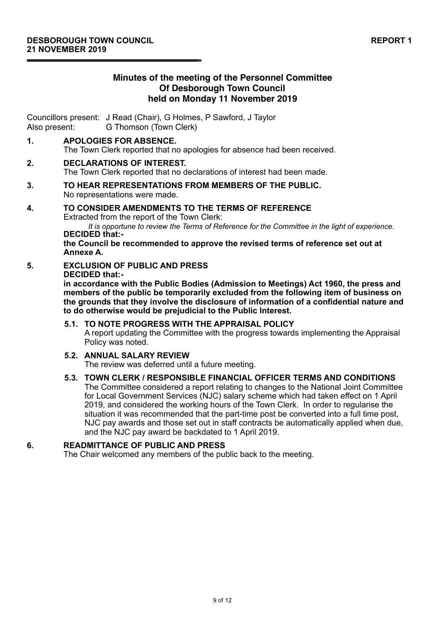# **Minutes of the meeting of the Personnel Committee Of Desborough Town Council held on Monday 11 November 2019**

Councillors present: J Read (Chair), G Holmes, P Sawford, J Taylor Also present: G Thomson (Town Clerk)

# **1. APOLOGIES FOR ABSENCE.**  The Town Clerk reported that no apologies for absence had been received.

# **2. DECLARATIONS OF INTEREST.**

The Town Clerk reported that no declarations of interest had been made.

**3. TO HEAR REPRESENTATIONS FROM MEMBERS OF THE PUBLIC.**  No representations were made.

# **4. TO CONSIDER AMENDMENTS TO THE TERMS OF REFERENCE**  Extracted from the report of the Town Clerk:

*It is opportune to review the Terms of Reference for the Committee in the light of experience.*  **DECIDED that:-** 

**the Council be recommended to approve the revised terms of reference set out at Annexe A.** 

# **5. EXCLUSION OF PUBLIC AND PRESS**

## **DECIDED that:-**

**in accordance with the Public Bodies (Admission to Meetings) Act 1960, the press and members of the public be temporarily excluded from the following item of business on the grounds that they involve the disclosure of information of a confidential nature and to do otherwise would be prejudicial to the Public Interest.** 

# **5.1. TO NOTE PROGRESS WITH THE APPRAISAL POLICY**

A report updating the Committee with the progress towards implementing the Appraisal Policy was noted.

# **5.2. ANNUAL SALARY REVIEW**

The review was deferred until a future meeting.

# **5.3. TOWN CLERK / RESPONSIBLE FINANCIAL OFFICER TERMS AND CONDITIONS**

The Committee considered a report relating to changes to the National Joint Committee for Local Government Services (NJC) salary scheme which had taken effect on 1 April 2019, and considered the working hours of the Town Clerk. In order to regularise the situation it was recommended that the part-time post be converted into a full time post, NJC pay awards and those set out in staff contracts be automatically applied when due, and the NJC pay award be backdated to 1 April 2019.

# **6. READMITTANCE OF PUBLIC AND PRESS**

The Chair welcomed any members of the public back to the meeting.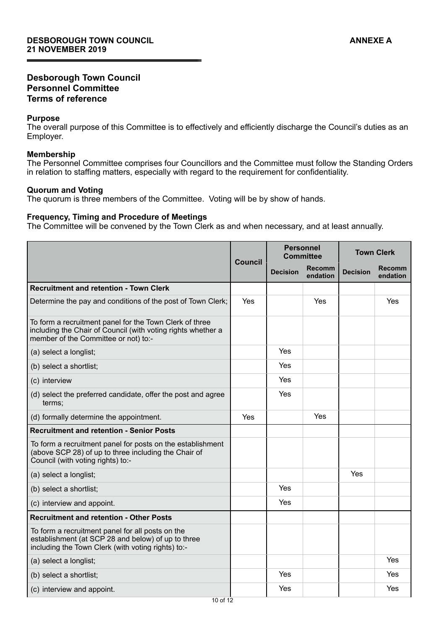# **Desborough Town Council Personnel Committee Terms of reference**

# **Purpose**

The overall purpose of this Committee is to effectively and efficiently discharge the Council's duties as an Employer.

## **Membership**

The Personnel Committee comprises four Councillors and the Committee must follow the Standing Orders in relation to staffing matters, especially with regard to the requirement for confidentiality.

## **Quorum and Voting**

The quorum is three members of the Committee. Voting will be by show of hands.

# **Frequency, Timing and Procedure of Meetings**

The Committee will be convened by the Town Clerk as and when necessary, and at least annually.

|                                                                                                                                                                 | Council | <b>Personnel</b><br><b>Committee</b> |                           | <b>Town Clerk</b> |                    |
|-----------------------------------------------------------------------------------------------------------------------------------------------------------------|---------|--------------------------------------|---------------------------|-------------------|--------------------|
|                                                                                                                                                                 |         | <b>Decision</b>                      | <b>Recomm</b><br>endation | <b>Decision</b>   | Recomm<br>endation |
| <b>Recruitment and retention - Town Clerk</b>                                                                                                                   |         |                                      |                           |                   |                    |
| Determine the pay and conditions of the post of Town Clerk;                                                                                                     | Yes     |                                      | Yes                       |                   | Yes                |
| To form a recruitment panel for the Town Clerk of three<br>including the Chair of Council (with voting rights whether a<br>member of the Committee or not) to:- |         |                                      |                           |                   |                    |
| (a) select a longlist;                                                                                                                                          |         | Yes                                  |                           |                   |                    |
| (b) select a shortlist;                                                                                                                                         |         | Yes                                  |                           |                   |                    |
| (c) interview                                                                                                                                                   |         | Yes                                  |                           |                   |                    |
| (d) select the preferred candidate, offer the post and agree<br>terms:                                                                                          |         | Yes                                  |                           |                   |                    |
| (d) formally determine the appointment.                                                                                                                         | Yes     |                                      | Yes                       |                   |                    |
| <b>Recruitment and retention - Senior Posts</b>                                                                                                                 |         |                                      |                           |                   |                    |
| To form a recruitment panel for posts on the establishment<br>(above SCP 28) of up to three including the Chair of<br>Council (with voting rights) to:-         |         |                                      |                           |                   |                    |
| (a) select a longlist;                                                                                                                                          |         |                                      |                           | Yes               |                    |
| (b) select a shortlist;                                                                                                                                         |         | Yes                                  |                           |                   |                    |
| (c) interview and appoint.                                                                                                                                      |         | Yes                                  |                           |                   |                    |
| <b>Recruitment and retention - Other Posts</b>                                                                                                                  |         |                                      |                           |                   |                    |
| To form a recruitment panel for all posts on the<br>establishment (at SCP 28 and below) of up to three<br>including the Town Clerk (with voting rights) to:-    |         |                                      |                           |                   |                    |
| (a) select a longlist;                                                                                                                                          |         |                                      |                           |                   | Yes                |
| (b) select a shortlist;                                                                                                                                         |         | Yes                                  |                           |                   | Yes                |
| (c) interview and appoint.                                                                                                                                      |         | Yes                                  |                           |                   | Yes                |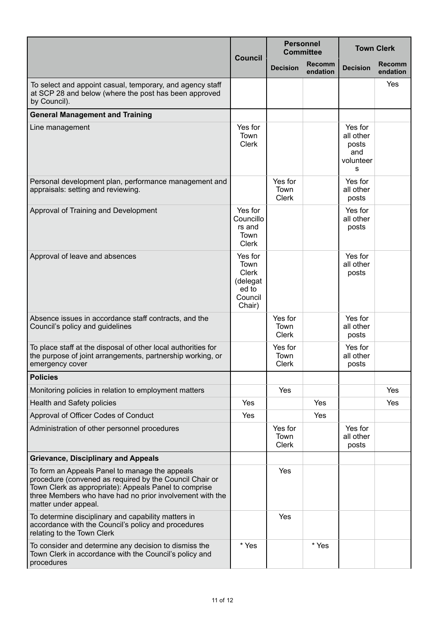|                                                                                                                                                                                                                                                        | <b>Council</b>                                                            | <b>Personnel</b><br><b>Committee</b> |                           | <b>Town Clerk</b>                                      |                           |
|--------------------------------------------------------------------------------------------------------------------------------------------------------------------------------------------------------------------------------------------------------|---------------------------------------------------------------------------|--------------------------------------|---------------------------|--------------------------------------------------------|---------------------------|
|                                                                                                                                                                                                                                                        |                                                                           | <b>Decision</b>                      | <b>Recomm</b><br>endation | <b>Decision</b>                                        | <b>Recomm</b><br>endation |
| To select and appoint casual, temporary, and agency staff<br>at SCP 28 and below (where the post has been approved<br>by Council).                                                                                                                     |                                                                           |                                      |                           |                                                        | Yes                       |
| <b>General Management and Training</b>                                                                                                                                                                                                                 |                                                                           |                                      |                           |                                                        |                           |
| Line management                                                                                                                                                                                                                                        | Yes for<br>Town<br><b>Clerk</b>                                           |                                      |                           | Yes for<br>all other<br>posts<br>and<br>volunteer<br>s |                           |
| Personal development plan, performance management and<br>appraisals: setting and reviewing.                                                                                                                                                            |                                                                           | Yes for<br>Town<br><b>Clerk</b>      |                           | Yes for<br>all other<br>posts                          |                           |
| Approval of Training and Development                                                                                                                                                                                                                   | Yes for<br>Councillo<br>rs and<br>Town<br><b>Clerk</b>                    |                                      |                           | Yes for<br>all other<br>posts                          |                           |
| Approval of leave and absences                                                                                                                                                                                                                         | Yes for<br>Town<br><b>Clerk</b><br>(delegat<br>ed to<br>Council<br>Chair) |                                      |                           | Yes for<br>all other<br>posts                          |                           |
| Absence issues in accordance staff contracts, and the<br>Council's policy and guidelines                                                                                                                                                               |                                                                           | Yes for<br>Town<br><b>Clerk</b>      |                           | Yes for<br>all other<br>posts                          |                           |
| To place staff at the disposal of other local authorities for<br>the purpose of joint arrangements, partnership working, or<br>emergency cover                                                                                                         |                                                                           | Yes for<br>Town<br><b>Clerk</b>      |                           | Yes for<br>all other<br>posts                          |                           |
| <b>Policies</b>                                                                                                                                                                                                                                        |                                                                           |                                      |                           |                                                        |                           |
| Monitoring policies in relation to employment matters                                                                                                                                                                                                  |                                                                           | Yes                                  |                           |                                                        | Yes                       |
| Health and Safety policies                                                                                                                                                                                                                             | Yes                                                                       |                                      | Yes                       |                                                        | Yes                       |
| Approval of Officer Codes of Conduct                                                                                                                                                                                                                   | Yes                                                                       |                                      | Yes                       |                                                        |                           |
| Administration of other personnel procedures                                                                                                                                                                                                           |                                                                           | Yes for<br>Town<br><b>Clerk</b>      |                           | Yes for<br>all other<br>posts                          |                           |
| <b>Grievance, Disciplinary and Appeals</b>                                                                                                                                                                                                             |                                                                           |                                      |                           |                                                        |                           |
| To form an Appeals Panel to manage the appeals<br>procedure (convened as required by the Council Chair or<br>Town Clerk as appropriate): Appeals Panel to comprise<br>three Members who have had no prior involvement with the<br>matter under appeal. |                                                                           | Yes                                  |                           |                                                        |                           |
| To determine disciplinary and capability matters in<br>accordance with the Council's policy and procedures<br>relating to the Town Clerk                                                                                                               |                                                                           | Yes                                  |                           |                                                        |                           |
| To consider and determine any decision to dismiss the<br>Town Clerk in accordance with the Council's policy and<br>procedures                                                                                                                          | * Yes                                                                     |                                      | * Yes                     |                                                        |                           |